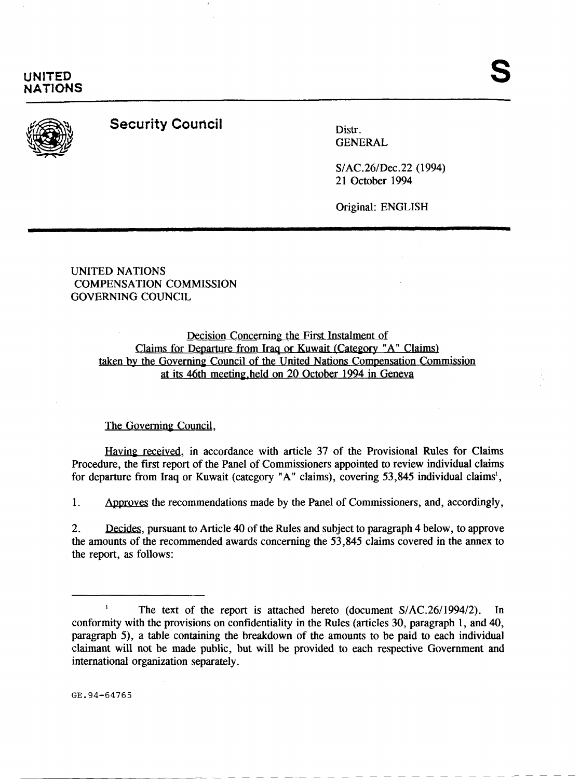

**UNITED NATIONS** 

## **Security Council Distress**

GENERAL

S/AC.26/Dec.22 (1994) 21 October 1994

Original: ENGLISH

UNITED NATIONS COMPENSATION COMMISSION GOVERNING COUNCIL

## Decision Concerning the First Instalment of Claims for Departure from Iraq or Kuwait (Category "A" Claims) taken by the Governing Council of the United Nations Compensation Commission at its 46th meeting-held on 20 October 1994 in Geneva

## The Governing Council,

Having received, in accordance with article 37 of the Provisional Rules for Claims Procedure, the first report of the Panel of Commissioners appointed to review individual claims for departure from Iraq or Kuwait (category "A" claims), covering  $53,845$  individual claims<sup>1</sup>,

1. Approves the recommendations made by the Panel of Commissioners, and, accordingly,

2. Decides, pursuant to Article 40 of the Rules and subject to paragraph 4 below, to approve the amounts of the recommended awards concerning the 53,845 claims covered in the annex to the report, as follows:

GE.94-64765

<sup>&</sup>lt;sup>1</sup> The text of the report is attached hereto (document  $S/AC.26/1994/2$ ). In conformity with the provisions on confidentiality in the Rules (articles 30, paragraph 1, and 40, paragraph 5), a table containing the breakdown of the amounts to be paid to each individual claimant will not be made public, but will be provided to each respective Government and international organization separately.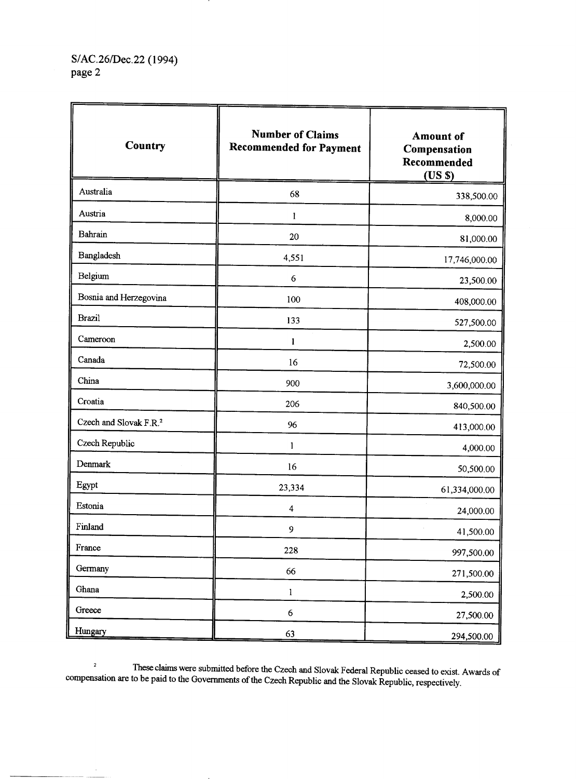| Country                            | <b>Number of Claims</b><br><b>Recommended for Payment</b> | <b>Amount of</b><br>Compensation<br>Recommended<br>(USS) |
|------------------------------------|-----------------------------------------------------------|----------------------------------------------------------|
| Australia                          | 68                                                        | 338,500.00                                               |
| Austria                            | 1                                                         | 8,000.00                                                 |
| Bahrain                            | 20                                                        | 81,000.00                                                |
| Bangladesh                         | 4,551                                                     | 17,746,000.00                                            |
| Belgium                            | 6                                                         | 23,500.00                                                |
| Bosnia and Herzegovina             | 100                                                       | 408,000.00                                               |
| <b>Brazil</b>                      | 133                                                       | 527,500.00                                               |
| Cameroon                           | 1                                                         | 2,500.00                                                 |
| Canada                             | 16                                                        | 72,500.00                                                |
| China                              | 900                                                       | 3,600,000.00                                             |
| Croatia                            | 206                                                       | 840,500.00                                               |
| Czech and Slovak F.R. <sup>2</sup> | 96                                                        | 413,000.00                                               |
| Czech Republic                     | $\mathbf{1}$                                              | 4,000.00                                                 |
| Denmark                            | 16                                                        | 50,500.00                                                |
| Egypt                              | 23,334                                                    | 61,334,000.00                                            |
| Estonia                            | 4                                                         | 24,000.00                                                |
| Finland                            | 9                                                         | 41,500.00                                                |
| France                             | 228                                                       | 997,500.00                                               |
| Germany                            | 66                                                        | 271,500.00                                               |
| Ghana                              | $\mathbf{l}$                                              | 2,500.00                                                 |
| Greece                             | $\boldsymbol{6}$                                          | 27,500.00                                                |
| Hungary                            | 63                                                        | 294,500.00                                               |

<sup>2</sup><br>These claims were submitted before the Czech and Slovak Federal Republic ceased to exist. Awards of compensation are to be paid to the Governments of the Czech Republic and the Slovak Republic, respectively.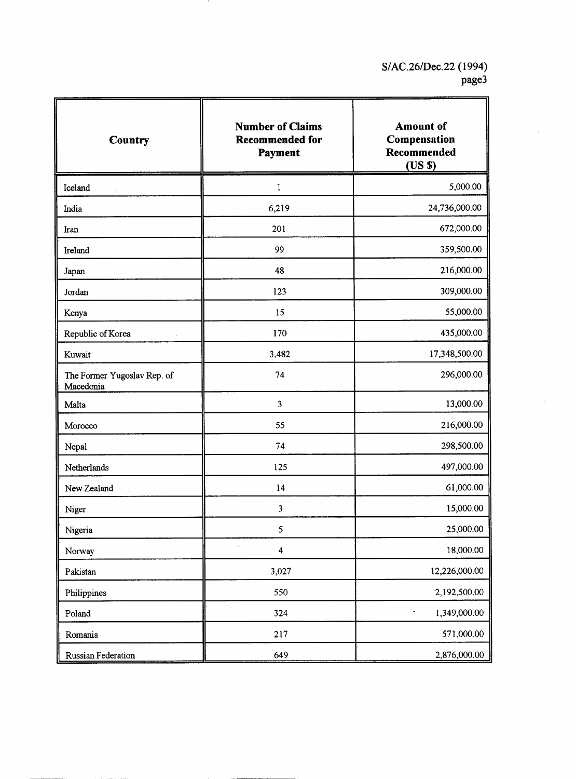| Country                                  | <b>Number of Claims</b><br><b>Recommended for</b><br>Payment | <b>Amount</b> of<br>Compensation<br>Recommended<br>(USS) |
|------------------------------------------|--------------------------------------------------------------|----------------------------------------------------------|
| Iceland                                  | 1                                                            | 5,000.00                                                 |
| India                                    | 6,219                                                        | 24,736,000.00                                            |
| Iran                                     | 201                                                          | 672,000.00                                               |
| Ireland                                  | 99                                                           | 359,500.00                                               |
| Japan                                    | 48                                                           | 216,000.00                                               |
| Jordan                                   | 123                                                          | 309,000.00                                               |
| Kenya                                    | 15                                                           | 55,000.00                                                |
| Republic of Korea                        | 170                                                          | 435,000.00                                               |
| Kuwait                                   | 3,482                                                        | 17,348,500.00                                            |
| The Former Yugoslav Rep. of<br>Macedonia | 74                                                           | 296,000.00                                               |
| Malta                                    | 3                                                            | 13,000.00                                                |
| Morocco                                  | 55                                                           | 216,000.00                                               |
| Nepal                                    | 74                                                           | 298,500.00                                               |
| Netherlands                              | 125                                                          | 497,000.00                                               |
| New Zealand                              | 14                                                           | 61,000.00                                                |
| Niger                                    | 3                                                            | 15,000.00                                                |
| Nigeria                                  | $\mathfrak s$                                                | 25,000.00                                                |
| Norway                                   | $\overline{\mathbf{4}}$                                      | 18,000.00                                                |
| Pakistan                                 | 3,027                                                        | 12,226,000.00                                            |
| Philippines                              | 550                                                          | 2,192,500.00                                             |
| Poland                                   | 324                                                          | 1,349,000.00<br>۰                                        |
| Romania                                  | 217                                                          | 571,000.00                                               |
| <b>Russian Federation</b>                | 649                                                          | 2.876,000.00                                             |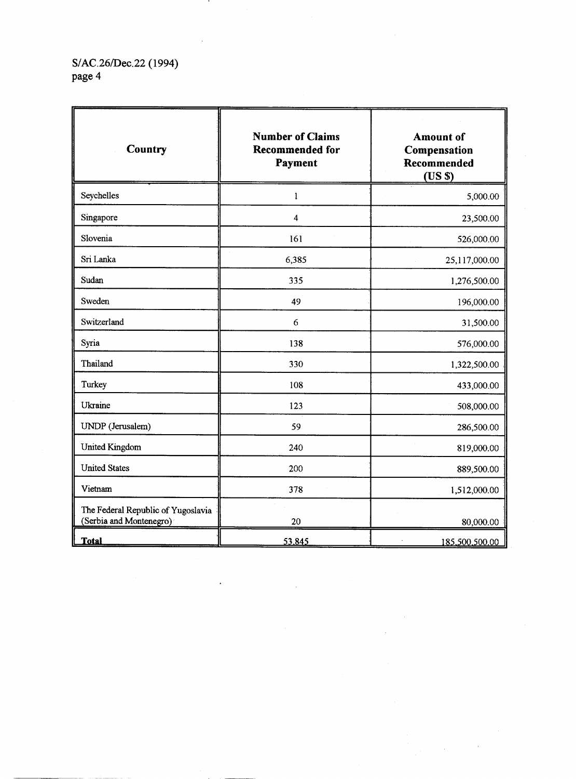S/AC.26/Dec.22 (1994)<br>page 4

| Country                                                       | <b>Number of Claims</b><br><b>Recommended for</b><br>Payment | <b>Amount</b> of<br>Compensation<br>Recommended<br>(USS) |
|---------------------------------------------------------------|--------------------------------------------------------------|----------------------------------------------------------|
| Seychelles                                                    | 1                                                            | 5,000.00                                                 |
| Singapore                                                     | $\overline{\mathbf{4}}$                                      | 23,500.00                                                |
| Slovenia                                                      | 161                                                          | 526,000.00                                               |
| Sri Lanka                                                     | 6,385                                                        | 25,117,000.00                                            |
| Sudan                                                         | 335                                                          | 1,276,500.00                                             |
| Sweden                                                        | 49                                                           | 196,000.00                                               |
| Switzerland                                                   | 6                                                            | 31,500.00                                                |
| Syria                                                         | 138                                                          | 576,000.00                                               |
| Thailand                                                      | 330                                                          | 1,322,500.00                                             |
| Turkey                                                        | 108                                                          | 433,000.00                                               |
| Ukraine                                                       | 123                                                          | 508,000.00                                               |
| UNDP (Jerusalem)                                              | 59                                                           | 286,500.00                                               |
| <b>United Kingdom</b>                                         | 240                                                          | 819,000.00                                               |
| <b>United States</b>                                          | 200                                                          | 889,500.00                                               |
| Vietnam                                                       | 378                                                          | 1,512,000.00                                             |
| The Federal Republic of Yugoslavia<br>(Serbia and Montenegro) | 20                                                           | 80,000.00                                                |
| <b>Total</b>                                                  | 53,845                                                       | 185,500,500.00                                           |